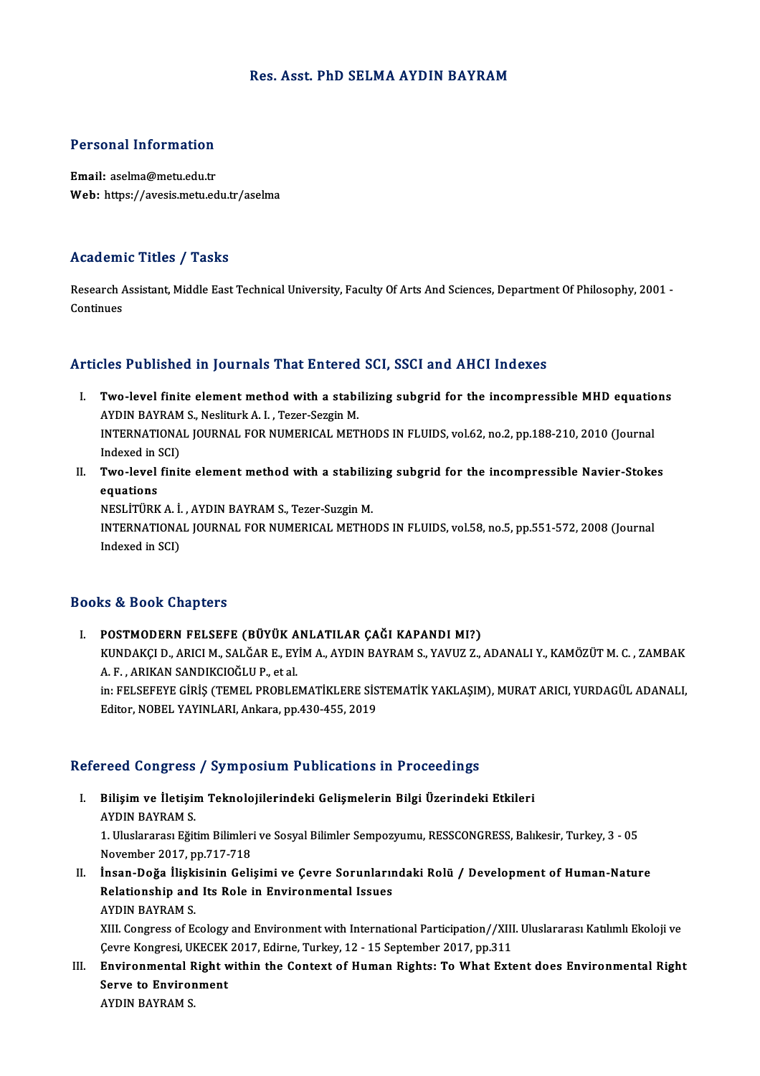#### Res. Asst. PhD SELMA AYDIN BAYRAM

# Personal Information

Personal Information<br>Email: aselma@metu.edu.tr<br>Web: https://avesis.metu.ed Email: aselma@metu.edu.tr<br>Web: https://avesis.metu.edu.tr/aselma

#### Academic Titles / Tasks

Academic Titles / Tasks<br>Research Assistant, Middle East Technical University, Faculty Of Arts And Sciences, Department Of Philosophy, 2001 -<br>Continues Research A<br>Continues

## Articles Published in Journals That Entered SCI, SSCI and AHCI Indexes

- rticles Published in Journals That Entered SCI, SSCI and AHCI Indexes<br>I. Two-level finite element method with a stabilizing subgrid for the incompressible MHD equations<br>AVDIN PAVRAM S. Necliturk A. L. Tezer Sezgin M Two-level finite element method with a stabi<br>AYDIN BAYRAM S., Nesliturk A. I. , Tezer-Sezgin M.<br>INTERNATIONAL JOURNAL FOR NUMERICAL MET Two-level finite element method with a stabilizing subgrid for the incompressible MHD equatio<br>AYDIN BAYRAM S., Nesliturk A. I. , Tezer-Sezgin M.<br>INTERNATIONAL JOURNAL FOR NUMERICAL METHODS IN FLUIDS, vol.62, no.2, pp.188-2 AYDIN BAYRAM S., Nesliturk A. I. , Tezer-Sezgin M.<br>INTERNATIONAL JOURNAL FOR NUMERICAL METHODS IN FLUIDS, vol.62, no.2, pp.188-210, 2010 (Journal<br>Indexed in SCI) INTERNATIONAL JOURNAL FOR NUMERICAL METHODS IN FLUIDS, vol.62, no.2, pp.188-210, 2010 (Journal<br>Indexed in SCI)<br>II. Two-level finite element method with a stabilizing subgrid for the incompressible Navier-Stokes<br>caustions
- Indexed in S<br>**Two-level**<br>equations<br>NESI iTiD*V* Two-level finite element method with a stabiliz<br>equations<br>NESLİTÜRK A. İ. , AYDIN BAYRAM S., Tezer-Suzgin M.<br>INTERNATIONAL JOURNAL FOR NUMERICAL METHO

equations<br>NESLİTÜRK A. İ. , AYDIN BAYRAM S., Tezer-Suzgin M.<br>INTERNATIONAL JOURNAL FOR NUMERICAL METHODS IN FLUIDS, vol.58, no.5, pp.551-572, 2008 (Journal<br>Indexed in SCI) NESLİTÜRK A. İ., AYDIN BAYRAM S., Tezer-Suzgin M.

#### Books&Book Chapters

I. POSTMODERN FELSEFE (BÜYÜK ANLATILAR ÇAĞI KAPANDI MI?)

KU & BUDA GREPECID<br>POSTMODERN FELSEFE (BÜYÜK ANLATILAR ÇAĞI KAPANDI MI?)<br>KUNDAKÇI D., ARICI M., SALĞAR E., EYİM A., AYDIN BAYRAM S., YAVUZ Z., ADANALI Y., KAMÖZÜT M. C. , ZAMBAK<br>A. E., ARIKAN SANDIKCIQĞI ILB. et al POSTMODERN FELSEFE (BÜYÜK A<br>KUNDAKÇI D., ARICI M., SALĞAR E., EY<br>A. F. , ARIKAN SANDIKCIOĞLU P., et al.<br>in. EELSEEEVE CIDIS (TEMEL PROPLE KUNDAKÇI D., ARICI M., SALĞAR E., EYİM A., AYDIN BAYRAM S., YAVUZ Z., ADANALI Y., KAMÖZÜT M. C. , ZAMBAK<br>A. F. , ARIKAN SANDIKCIOĞLU P., et al.<br>in: FELSEFEYE GİRİŞ (TEMEL PROBLEMATİKLERE SİSTEMATİK YAKLAŞIM), MURAT ARICI,

A. F. , ARIKAN SANDIKCIOĞLU P., et al.<br>in: FELSEFEYE GİRİŞ (TEMEL PROBLEMATİKLERE SİS<br>Editor, NOBEL YAYINLARI, Ankara, pp.430-455, 2019

## Editor, NOBEL YAYINLARI, Ankara, pp.430-455, 2019<br>Refereed Congress / Symposium Publications in Proceedings

efereed Congress / Symposium Publications in Proceedings<br>I. Bilişim ve İletişim Teknolojilerindeki Gelişmelerin Bilgi Üzerindeki Etkileri<br>AYDIN PAYRAM S 1994 Bongress<br>Bilişim ve İletişir<br>AYDIN BAYRAM S. Bilişim ve İletişim Teknolojilerindeki Gelişmelerin Bilgi Üzerindeki Etkileri<br>AYDIN BAYRAM S.<br>1. Uluslararası Eğitim Bilimleri ve Sosyal Bilimler Sempozyumu, RESSCONGRESS, Balıkesir, Turkey, 3 - 05<br>Navember 2017, pp.717.71

AYDIN BAYRAM S.<br>1. Uluslararası Eğitim Bilimler<br>November 2017, pp.717-718<br>İnsan Doğa İliskisinin Geli 1. Uluslararası Eğitim Bilimleri ve Sosyal Bilimler Sempozyumu, RESSCONGRESS, Balıkesir, Turkey, 3 - 05<br>November 2017, pp.717-718<br>II. İnsan-Doğa İlişkisinin Gelişimi ve Çevre Sorunlarındaki Rolü / Development of Human-Natu

November 2017, pp.717-718<br>İnsan-Doğa İlişkisinin Gelişimi ve Çevre Sorunlarır<br>Relationship and Its Role in Environmental Issues<br>AYDIN BAYRAM S İnsan-Doğa İlişki<br>Relationship and<br>AYDIN BAYRAM S.<br>YIII Congress of Es Relationship and Its Role in Environmental Issues<br>AYDIN BAYRAM S.<br>XIII. Congress of Ecology and Environment with International Participation//XIII. Uluslararası Katılımlı Ekoloji ve<br>Caure Kangresi UKECEK 2017, Edirne Turke

AYDIN BAYRAM S.<br>XIII. Congress of Ecology and Environment with International Participation//XIII<br>Çevre Kongresi, UKECEK 2017, Edirne, Turkey, 12 - 15 September 2017, pp.311<br>Environmentel Bight within the Context of Human B XIII. Congress of Ecology and Environment with International Participation//XIII. Uluslararası Katılımlı Ekoloji ve<br>Cevre Kongresi, UKECEK 2017, Edirne, Turkey, 12 - 15 September 2017, pp.311<br>III. Environmental Right withi

Cevre Kongresi, UKECEK 2017, Edirne, Turkey, 12 - 15 September 2017, pp.311<br>Environmental Right within the Context of Human Rights: To What Ext<br>Serve to Environment<br>AYDIN BAYRAM S. III. Environmental Right within the Context of Human Rights: To What Extent does Environmental Right